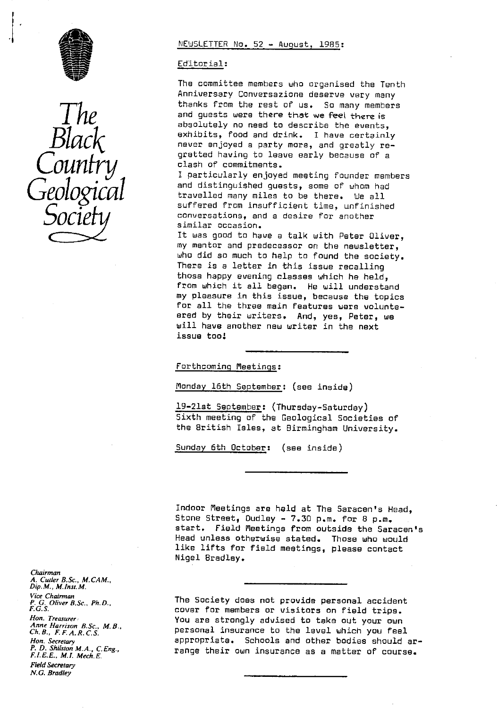



### NEWSLETTER No. 52 - August, 1985:

#### Editorial :

The committee members who organised the Tenth Anniversary Conversazione deserve very many *The* thanks from the rest of us. So many members<br>and guests were there that we feel there is<br>absolutely no need to describe the events, and guests were there that we feel there is absolutely no need to describe the events,<br>exhibits, food and drink. I have certainly  $\mathcal{B}lack$  exhibits, food and drink. I have certainly regretted having to leave early because of a clash of commitments.

I particularly enjoyed meeting founder members and distinguished guests, some of whom had travelled many miles to be there. We all suffered from insufficient time, unfinished conversations, and a desire for another similar occasion.

It was good to have a talk with Peter Oliver, my mentor and predecessor on the newsletter, who did so much to help to found the society. There is a letter in this issue recalling those happy evening classes which he held, from which it all began. He will understand my pleasure in this issue, because the topics for all the three main features were volunteered by their writers. And, yes, Peter, we will have another new writer in the next issue too:

Forthcoming Meetings :

Monday 16th September: (see inside)

19-21st September: (Thursday-Saturday) Sixth meeting of the Geological Societies of the British Isles, at Birmingham University.

Sunday 6th October: (see inside)

Indoor Meetings are held at The Saracen's Head, Stone Street, Dudley - 7.30 p.m. for 8 p.m. start. Field Meetings from outside the Saracen's Head unless otherwise stated. Those who would like lifts for field meetings, please contact Nigel Bradley.

The Society does not provide personal accident cover for members or visitors on field trips. You are strongly advised to take out your own personal insurance to the level which you feel appropriate. Schools and other bodies should arrange their own insurance as a matter of course.

*Chairman A. Cutler B.Sc., M.CAM., Dip. M., M.Inst.M. Vice* Chairman *P. G. Oliver B. Sc.,* Ph. D. F.G.S. *Hon. Treasurer* Anne *Harrison B.Sc., M. B., Ch.B., F. F. A.R.C.S. Hon. Secretary P. D. Shilston M.A.,* C. Eng., *FLEE., E., M.I. Mech. E.* Field Secretary *N.G. Bradley*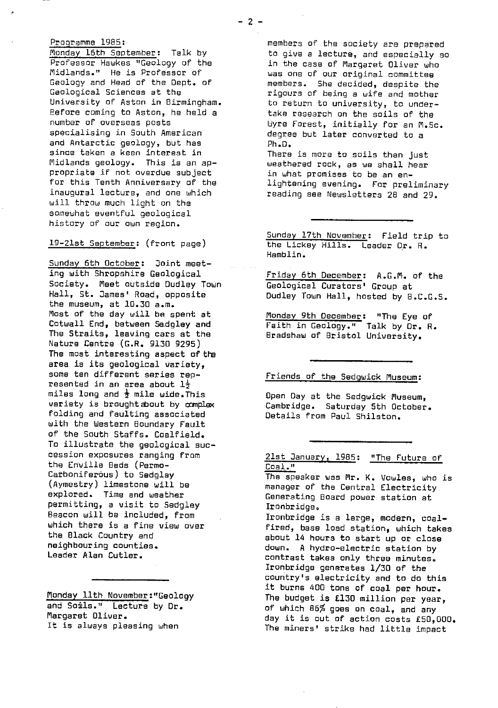## Programme 1985:

Monday 16th September: Talk by Professor Hawkes "Geology of the Midlands." He is Professor of Geology and Head of the Dept. of Geological Sciences at the University of Aston in Birmingham. Before coming to Aston, he held a number of overseas posts specialising in South American and Antarctic geology, but has since taken a keen interest in Midlands geology. This is an appropriate if not overdue subject for this Tenth Anniversary of the inaugural lecture, and one which will throw much light on the somewhat eventful geological history of our own region.

19-21st September : (front page)

Sunday 6th October: Joint meeting with Shropshire Geological Society. Meet outside Dudley Town Hall, St. James' Road, opposite the museum, at 10.30 a.m. most of the day will be spent at Cotwall End, between Se.dgley and The Straits, leaving cars at the Nature Centre (G.R. 9130 9295) The most interesting aspect of the **area is its** geological variety, some ten different series represented in an area about  $1\frac{1}{2}$ miles long and  $\frac{1}{2}$  mile wide.This variety is brought about by complex folding and faulting associated with the Western Boundary Fault of the South Staffs. Coalfield. To illustrate the geological succession exposures ranging from the Enville Beds (Permo-Carboniferous) to Sedgley (Aymestry) limestone will be explored. Time and weather permitting, a visit to Sedgley Beacon will be included, from which there is a fine view over the Black Country and neighbouring counties. Leader Alan Cutler.

Monday 11th November:"Geology and Soils." Lecture by Dr. Margaret Oliver. It is always pleasing when

members of the society are prepared to give a lecture, and especially so in the case of Margaret Oliver who was one of our original committee members. She decided, despite the rigours of being a wife and mother to return to university, to undertake research on the soils of the Wyre Forest, initially for an M.5c. degree but later converted to a Ph.D. There is more to soils then just

weathered rock, as we shall hear in what promises to be an enlightening evening. For preliminary reading see Newsletters 28 and 29.

Sunday 17th November: Field trip to the Lickey Hills. Leader Dr. R. Hamblin.

Friday 6th December: A.G.M. of the Geological Curators' Group at Dudley Town Hall, hosted by B.C.G.S.

Monday 9th December: "The Eye of Faith in Geology." Talk by Dr. R. Bradshaw of Bristol University.

Friends of the Sedgwick Museum:

Open Day at the Sedgwick Museum, Cambridge. Saturday 5th October. Details from Paul Shilston.

# 21st January, 1985: "The Future of Coal."

The speaker was Mr. K. Uowles, who is manager of the Central Electricity Generating Board power station at Ironbridge.

Ironbridge is a large, modern, coalfired, base load station, which takes about 14 hours to start up or close down. A hydro-electric station by contrast takes only three minutes. Ironbridge generates 1/30 of the country's electricity and to do this it burns 400 tons of coal per hour. The budget is £130 million per year, of which 86% goes on coal, and any day it is out of action costs £50,000. The miners' strike had little impact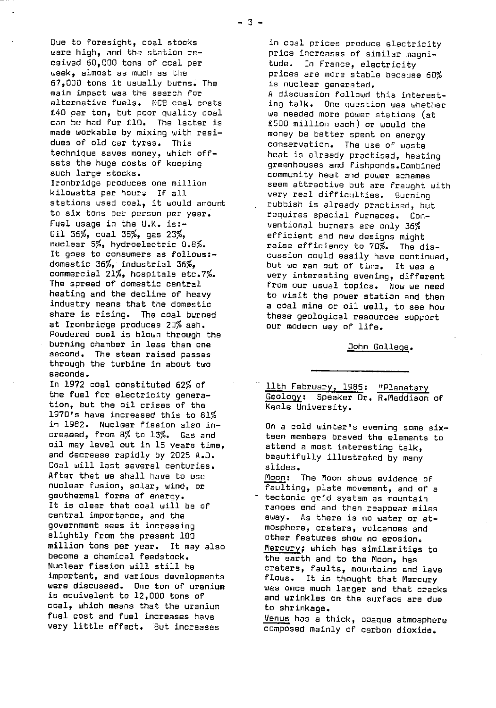Due to foresight, coal stocks were high, and the station received 60,000 tons of coal per week, almost as much as the 67,000 tons it usually burns. The main impact was the search for alternative fuels. NCE coal costs £40 per ton, but poor quality coal can be had for £10. The latter is made workable by mixing with residues of old car tyres. This technique saves money, which offsets the huge costs of keeping such large stocks. Ironbridge produces one million kilowatts per hour: If all stations used coal, it would amount to six tons per person per year. Fuel usage in the U.K. is:- Oil 36%, coal 35%, gas 23%, nuclear 5%, hydroelectric 0.8%. It goes to consumers as follows:domestic 36%, industrial 36%, commercial 21%, hospitals etc.7%. The spread of domestic central heating and the decline of heavy industry means that the domestic share is rising. The coal burned at Ironbridge produces 20% ash. Powdered coal is blown through the burning chamber in less than one second. The steam raised passes through the turbine in about two seconds.

In 1972 coal constituted 62% of the fuel for electricity generation, but the oil crises of the 1970's have increased this to 81% in 1982. Nuclear fission also increaded, from 8% to 13%. Gas and oil may level out in 15 years time, and decrease rapidly by 2025 A.D. Coal will last several centuries. After that we shall have to use nuclear fusion, solar, wind, or geothermal forms of energy. It is clear that coal will be of central importance, and the government sees it increasing slightly from the present 100 million tons per year. It may also become a chemical feedstock. Nuclear fission will still be important, and various developments were discussed. One ton of uranium is equivalent to 12,000 tons of coal, which means that the uranium fuel cast and fuel increases have very little effect. But increases

in coal prices produce electricity price increases of similar magni-<br>tude. In France, electricity In France, electricity prices are more stable because 60% is nuclear generated. A discussion followd this interesting talk. One question was whether we needed more power stations (at £500 million each) or would the money be better spent on energy conservation. The use of waste heat is already practised, heating greenhouses and fishponds.Combined community heat and power schemes seem attractive but are fraught with very real difficulties. Burning rubbish is already practised, but requires special furnaces. Conventional burners are only 36% efficient and new designs might raise efficiency to 70%. The discussion could easily have continued, but we ran out of time. It was a very interesting evening, different from our usual topics. Now we need to visit the power station and then a coal mine or oil well, to see how these geological resources support our modern way of life.

John College .

11th February, 1985: "Planetary Geology: Speaker Dr. R.Maddison of Keels University.

On a cold winter's evening some **six** attend a most interesting talk, beautifully illustrated by many slides.

Moon : The Moon shows evidence of faulting, plate movement, and of a

tectonic grid system as mountain ranges end and then reappear miles away. As there is no water or atmosphere, craters, volcanoes and other features show no erosion. Mercury; which has similarities to the earth and to the Moon, has craters, faults, mountains and lava flows. It is thought that Mercury was once much larger and that cracks and wrinkles an the surface are due to shrinkage.

Venus has a thick, opaque atmosphere composed mainly of carbon dioxide.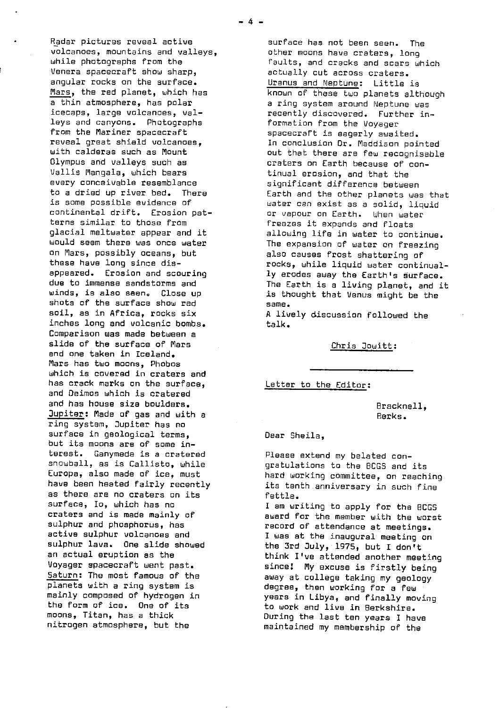Radar pictures reveal active volcanoes, mountains and valleys, while photographs from the \enera spacecraft show sharp, angular rocks on the surface. Mars, the red planet, which has a thin atmosphere, has polar icecaps, large volcanoes, valleys and canyons. Photographs from the Mariner spacecraft reveal great shield volcanoes, with calderas such as Mount Olympus and valleys such as Vallis Mangala, which bears every conceivable resemblance to a dried up river bed. There is some possible evidence of continental drift. Erosion patterns similar to those from glacial meltwater appear and it would seem there was once water on Mars, possibly oceans, but these have long since disappeared. Erosion and scouring due to immense sandstorms and winds, is also seen. Close up shots of the surface show red soil, as in Africa, rocks six inches long and volcanic bombs. Comparison was made between a slide of the surface of Mars and one taken in Iceland. Mars has two moons, Phobos which is covered in craters and has crack marks an the surface, and Deimos which is cratered and has house size boulders. Jupiter: Made of gas and with a ring system, Jupiter has no surface in geological terms, but its moons are of some interest. Ganymede is a cratered snowball, as is Callisto, while Europa, also made of ice, must have been heated fairly recently as there are no craters on its surface, Io, which has no craters and is made mainly of sulphur and phosphorus, has active sulphur volcanoes and sulphur lava. One slide showed an actual eruption as the Voyager spacecraft went past. Saturn: The most famous of the planets with a ring system is mainly composed of hydrogen in the form of ice. One of its moons, Titan, has a thick nitrogen atmosphere, but the

surface has not been seen. The other moons have craters, long faults, and cracks and scars which actually cut across craters. Uranus and Neptune: Little is known of these two planets although a ring system around Neptune was recently discovered. Further information from the Voyager spacecraft is eagerly awaited. In conclusion Dr. Maddison pointed out that there are few recognisable craters on Earth because of continual erosion, and that the significant difference between Earth and the other planets was that water can exist as a solid, liquid or vapour on Earth. When water freezes it expands and floats allowing life in water to continue. The expansion of water on freezing also causes frost shattering of rocks, while liquid water continually erodes away the Earth's surface. The Earth is a living planet, and it is thought that Venus might be the same.

A lively discussion followed the talk.

Chris Jowitt :

Letter to the Editor:

Bracknell, Berks.

Dear Sheila,

Please extend my belated congratulations to the DCGS and its hard working committee, on reaching its tenth anniversary in such fine fettle.

I am writing to apply for the BCCS award for the member with the worst record of attendance at meetings. I was at the inaugural meeting on the 3rd July, 1975, but I don't think I've attended another meeting since: My **excuse is** firstly being away at college taking my geology degree, then working for a few years in Libya, and finally moving to work and live in Berkshire. During the.last ten years I have maintained my membership of the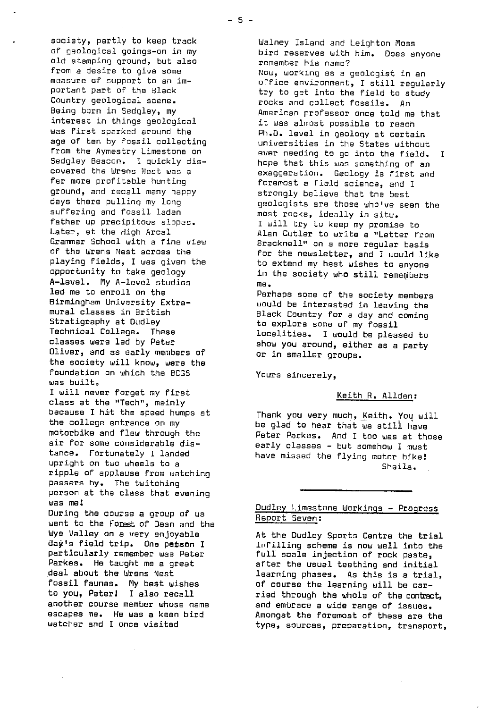society, partly to keep track of geological goings-on in my old stamping ground, but also from a desire to give some measure of support to an important part of the Black Country geological scene. Being born in Sedgley, my interest in things geological was first sparked around the age of ten by fossil collecting from the Aymestry Limestone on Sedgley Beacon. I quickly discovered the Wrens Nest was a for more profitable hunting ground, and recall many happy days there pulling my long suffering and fossil laden father up precipitous slopes. Later, at the High Arcal Grammar School with a fine view of the Wrens Nest across the playing fields, I was given the opportunity to take geology A-level. My A-level studies led me to enroll on the Birmingham University Extramural classes in British Stratigraphy at Dudley Technical College. These classes were led by Peter Oliver, and as early members of the society will know, were the foundation on which the BCGS was built. I will never forget my first class at the "Tech", mainly because I hit the speed humps at the college entrance on my motorbike and flew through the air for some considerable distance. Fortunately I landed upright on two wheels to a ripple of applause from watching passers by.. The twitching person at the class that evening was me! During the course a group of us went to the Forest of Dean and the Wye Valley on a very enjoyable

day's field trip. One petson I particularly remember was Peter Parkes. He taught me a great deal about the Wrens Nest fossil faunas. My best wishes to you, Peter! I also recall another course member whose name escapes me. He was a keen bird watcher and I once visited

Walney Island and Leighton Moss bird reserves with him. Does anyone remember his name? Now, working as a geologist in an office environment, I still regularly try to get into the field to study rocks and collect fossils. An American professor once told me that it was almost possible to reach Ph.D. level in geology at certain universities in the States without ever needing to go into the field. I hope that this was something of an exaggeration. Geology is first and foremost a field science, and I strongly believe that the best geologists are those who've seen the most rocks, ideally in situ. I will try to keep my promise to Alan Cutler to write a "Letter from Bracknell" an a more regular basis for the newsletter, and I would like to extend my best wishes to anyone in the society who still remembers me.

Perhaps some of the society members would be interested in leaving the Black Country for a day and coming to explore some of my fossil localities. I would be pleased to show you around, either as a party or in smaller groups.

Yours sincerely,

# Keith R. Allden :

Thank you very much, Keith. You will be glad to hear that we still have Peter Parkes, And I too was at those early classes - but somehow I must have missed the flying motor bike! Sheila.

# Dudley Limestone Workings - **Progress** Report. Seven:

At the Dudley Sports Centre the trial infilling scheme is now well into the full scale injection of rock paste, after the usual teething and initial learning phases. As this is a trial, **of course** the learning will be carried through the whole of the contact, and embrace a wide range of issues. Amongst the foremost of these are the type, sources, preparation, transport,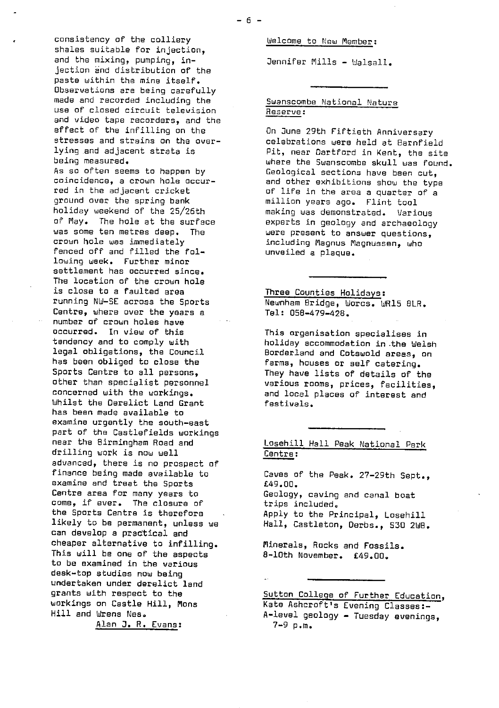consistency of the colliery shales suitable for injection, and the mixing, pumping, injection and distribution of the paste within the mine itself. Observations are being carefully made and recorded including the use of closed circuit television and video tape recorders, and the effect of the infilling on the stresses and strains on the overlying and adjacent strata is being measured. As so often seems to happen by coincidence, a crown hole occurred in the adjacent cricket ground over the spring bank holiday weekend of the 25/26th of May. The hole at the surface was some ten metres deep. The crown hole was immediately fenced off and filled the following week. Further minor settlement has occurred since. The location of the crown hole is close to a faulted area running NW-SE across the Sports Centre, where over the years a number of crown holes have occurred. In view of this tendency and to comply with legal obligations, the Council has been obliged to close the Sports Centre to all persons, other than specialist personnel concerned with the workings. Whilst the Derelict Land Grant *has been* made available to examine urgently the south-east part of the Castlefields workings near the Birmingham Road and drilling work is now well advanced, there is no prospect of finance being made available to examine and treat the Sports Centre area for many years to come, if ever. The closure of the Sports Centre is therefore likely to be permanent, unless we can develop a practical and cheaper alternative to infilling. This will be one of the aspects to be examined in the various desk-top studies now being undertaken under derelict land grants with respect to the workings on Castle Hill, Mons Hill and Wrens Nes. Alan J. R. Evans:

Welcome to New Member :

Jennifer Mills - Walsall.

Swanscombe National Nature Reserve :

On June 29th Fiftieth Anniversary celebrations were held at 8arnfield Pit, near Dartford in Kent, the site where the Swanscombe skull was found. Geological sections have been cut, and other exhibitions show the type of life in the area a quarter of a million years ago. Flint tool making was demonstrated. Various experts in geology and archaeology were present to answer questions, including Magnus flagnussen, who unveiled a plaque.

Three Counties Holidays: Newnham Bridge, Worcs. WR15 8LR. Tel: 058-479-428.

This organisation specialises in holiday accommodation in .the Walsh Borderland and Cotswold areas, on farms, houses or self catering. They have lists of details of the various rooms, prices, facilities, and local places of interest and festivals.

Losehill Hall Peak National Park Centre :

Caves of the Peak. 27-29th Sept., £49.D0. Geology, caving and canal boat trips included. Apply to the Principal, Losehill Hall, Castleton, Derbs., 530 2WB.

Minerals, Rocks and Fossils. 8-10th November. £49.00.

Sutton College of Further Education, Kate Ashcroft's Evening Classes:- A-level geology - Tuesday evenings, 7-9 p.m.